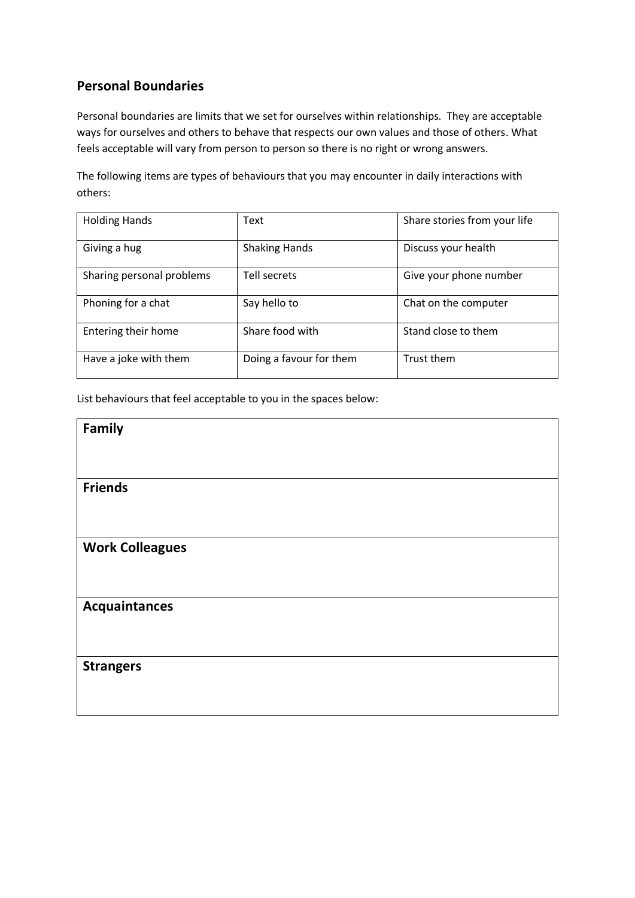# **Personal Boundaries**

Personal boundaries are limits that we set for ourselves within relationships. They are acceptable ways for ourselves and others to behave that respects our own values and those of others. What feels acceptable will vary from person to person so there is no right or wrong answers.

The following items are types of behaviours that you may encounter in daily interactions with others:

| <b>Holding Hands</b>      | Text                    | Share stories from your life |  |
|---------------------------|-------------------------|------------------------------|--|
| Giving a hug              | <b>Shaking Hands</b>    | Discuss your health          |  |
| Sharing personal problems | Tell secrets            | Give your phone number       |  |
| Phoning for a chat        | Say hello to            | Chat on the computer         |  |
| Entering their home       | Share food with         | Stand close to them          |  |
| Have a joke with them     | Doing a favour for them | Trust them                   |  |

List behaviours that feel acceptable to you in the spaces below:

| Family                 |  |
|------------------------|--|
| <b>Friends</b>         |  |
|                        |  |
| <b>Work Colleagues</b> |  |
| <b>Acquaintances</b>   |  |
| <b>Strangers</b>       |  |
|                        |  |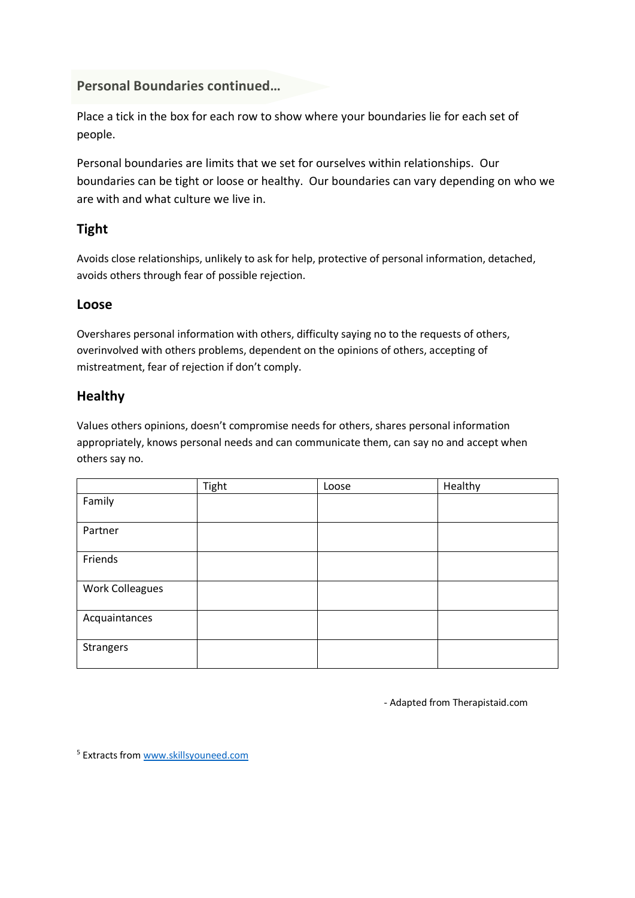### **Personal Boundaries continued…**

Place a tick in the box for each row to show where your boundaries lie for each set of people.

Personal boundaries are limits that we set for ourselves within relationships. Our boundaries can be tight or loose or healthy. Our boundaries can vary depending on who we are with and what culture we live in.

# **Tight**

Avoids close relationships, unlikely to ask for help, protective of personal information, detached, avoids others through fear of possible rejection.

#### **Loose**

Overshares personal information with others, difficulty saying no to the requests of others, overinvolved with others problems, dependent on the opinions of others, accepting of mistreatment, fear of rejection if don't comply.

## **Healthy**

Values others opinions, doesn't compromise needs for others, shares personal information appropriately, knows personal needs and can communicate them, can say no and accept when others say no.

|                 | Tight | Loose | Healthy |
|-----------------|-------|-------|---------|
| Family          |       |       |         |
| Partner         |       |       |         |
| Friends         |       |       |         |
| Work Colleagues |       |       |         |
| Acquaintances   |       |       |         |
| Strangers       |       |       |         |

- Adapted from Therapistaid.com

<sup>5</sup> Extracts fro[m www.skillsyouneed.com](http://www.skillsyouneed.com/)